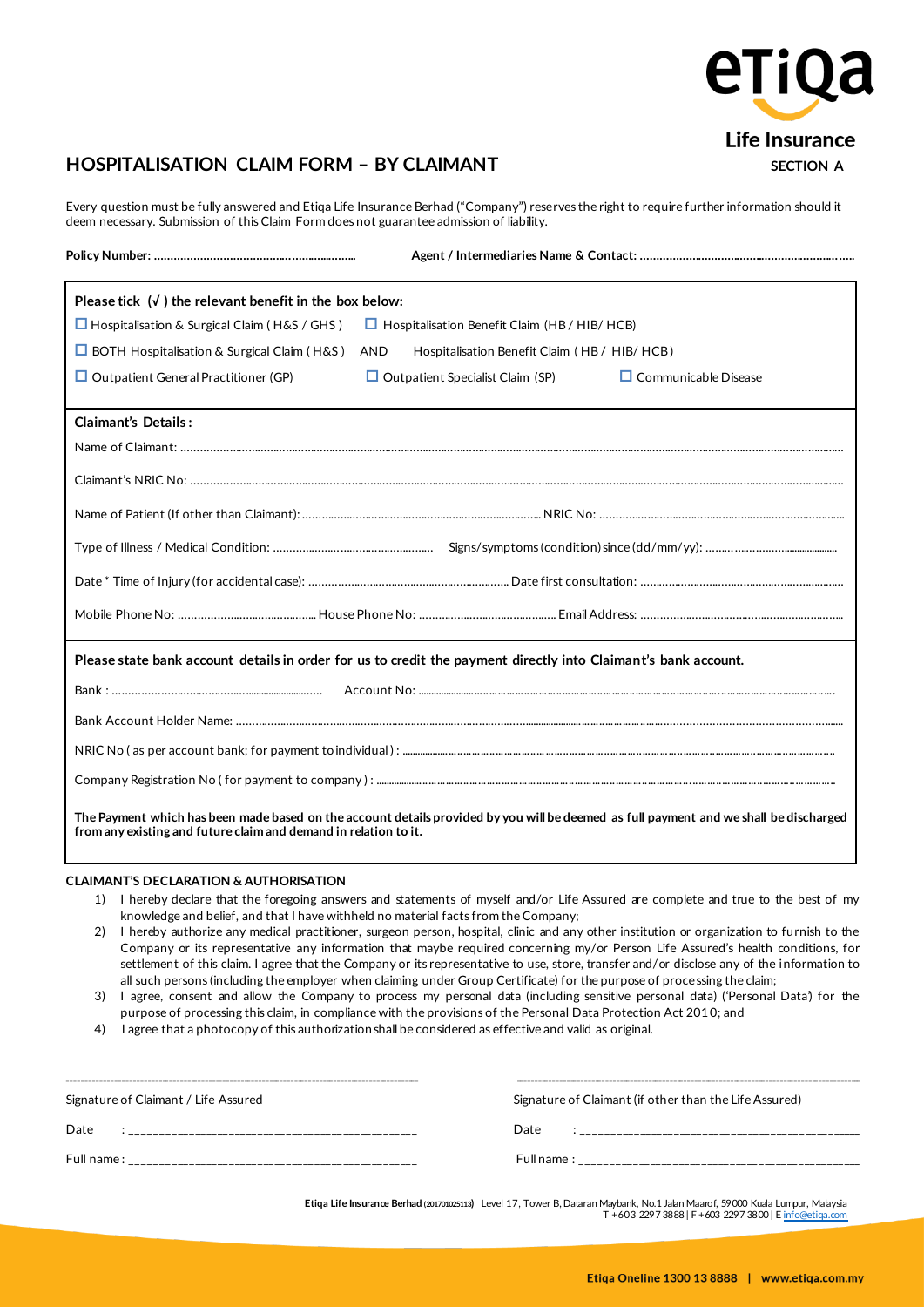

## **HOSPITALISATION CLAIM FORM – BY CLAIMANT** *SECTION A*

Every question must be fully answered and Etiqa Life Insurance Berhad ("Company") reserves the right to require further information should it deem necessary. Submission of this Claim Form does not guarantee admission of liability.

| Please tick $(\sqrt{})$ the relevant benefit in the box below:                                                                                                                                             |
|------------------------------------------------------------------------------------------------------------------------------------------------------------------------------------------------------------|
| $\Box$ Hospitalisation & Surgical Claim (H&S / GHS)<br>$\Box$ Hospitalisation Benefit Claim (HB / HIB/ HCB)                                                                                                |
| $\Box$ BOTH Hospitalisation & Surgical Claim (H&S)<br>AND<br>Hospitalisation Benefit Claim (HB/HIB/HCB)                                                                                                    |
| $\Box$ Outpatient General Practitioner (GP)<br>$\Box$ Outpatient Specialist Claim (SP)<br>$\Box$ Communicable Disease                                                                                      |
| <b>Claimant's Details:</b>                                                                                                                                                                                 |
|                                                                                                                                                                                                            |
|                                                                                                                                                                                                            |
|                                                                                                                                                                                                            |
|                                                                                                                                                                                                            |
|                                                                                                                                                                                                            |
|                                                                                                                                                                                                            |
| Please state bank account details in order for us to credit the payment directly into Claimant's bank account.                                                                                             |
|                                                                                                                                                                                                            |
|                                                                                                                                                                                                            |
|                                                                                                                                                                                                            |
|                                                                                                                                                                                                            |
| The Payment which has been made based on the account details provided by you will be deemed as full payment and we shall be discharged<br>from any existing and future claim and demand in relation to it. |

## **CLAIMANT'S DECLARATION & AUTHORISATION**

- 1) I hereby declare that the foregoing answers and statements of myself and/or Life Assured are complete and true to the best of my knowledge and belief, and that I have withheld no material facts from the Company;
- 2) I hereby authorize any medical practitioner, surgeon person, hospital, clinic and any other institution or organization to furnish to the Company or its representative any information that maybe required concerning my/or Person Life Assured's health conditions, for settlement of this claim. I agree that the Company or its representative to use, store, transfer and/or disclose any of the information to all such persons (including the employer when claiming under Group Certificate) for the purpose of processing the claim;
- 3) I agree, consent and allow the Company to process my personal data (including sensitive personal data) ('Personal Data') for the purpose of processing this claim, in compliance with the provisions of the Personal Data Protection Act 2010; and
- 4) I agree that a photocopy of this authorization shall be considered as effective and valid as original.

| Signature of Claimant / Life Assured | Signature of Claimant (if other than the Life Assured) |
|--------------------------------------|--------------------------------------------------------|
| Date                                 | Date                                                   |
| Full name :                          | Full name:                                             |

 **Etiqa Life Insurance Berhad (201701025113)** Level 17, Tower B, Dataran Maybank, No.1 Jalan Maarof, 59000 Kuala Lumpur, Malaysia T +603 2297 3888 | F +603 2297 3800 | [E info@etiqa.com](mailto:info@etiqa.com)